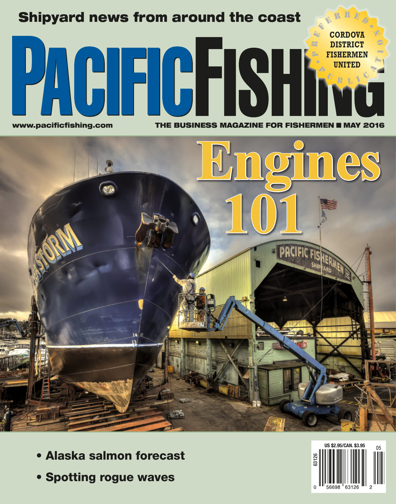# Shipyard news from around the coast **CORDOVA DISTRICT** œ **PAGE GEST FISHERMEN UNITED**www.pacificfishing.com THE BUSINESS MAGAZINE FOR FISHERMEN II MAY 2016



- Alaska salmon forecast
- Spotting rogue waves